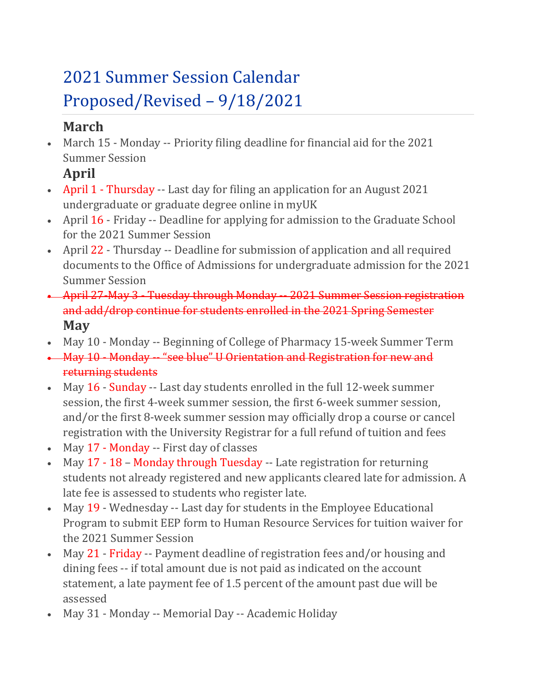# 2021 Summer Session Calendar Proposed/Revised – 9/18/2021

## **March**

• March 15 - Monday -- Priority filing deadline for financial aid for the 2021 Summer Session

#### **April**

- April 1 Thursday -- Last day for filing an application for an August 2021 undergraduate or graduate degree online in myUK
- April 16 Friday -- Deadline for applying for admission to the Graduate School for the 2021 Summer Session
- April 22 Thursday -- Deadline for submission of application and all required documents to the Office of Admissions for undergraduate admission for the 2021 Summer Session
- April 27-May 3 Tuesday through Monday -- 2021 Summer Session registration and add/drop continue for students enrolled in the 2021 Spring Semester **May**
- May 10 Monday -- Beginning of College of Pharmacy 15-week Summer Term
- May 10 Monday -- "see blue" U Orientation and Registration for new and returning students
- May 16 Sunday -- Last day students enrolled in the full 12-week summer session, the first 4-week summer session, the first 6-week summer session, and/or the first 8-week summer session may officially drop a course or cancel registration with the University Registrar for a full refund of tuition and fees
- May 17 Monday -- First day of classes
- May 17 18 Monday through Tuesday -- Late registration for returning students not already registered and new applicants cleared late for admission. A late fee is assessed to students who register late.
- May 19 Wednesday -- Last day for students in the Employee Educational Program to submit EEP form to Human Resource Services for tuition waiver for the 2021 Summer Session
- May 21 Friday -- Payment deadline of registration fees and/or housing and dining fees -- if total amount due is not paid as indicated on the account statement, a late payment fee of 1.5 percent of the amount past due will be assessed
- May 31 Monday -- Memorial Day -- Academic Holiday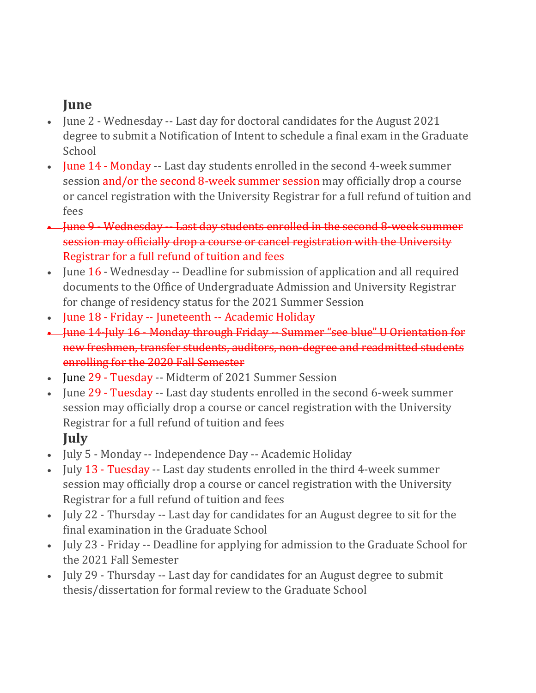## **June**

- June 2 Wednesday -- Last day for doctoral candidates for the August 2021 degree to submit a Notification of Intent to schedule a final exam in the Graduate School
- June 14 Monday -- Last day students enrolled in the second 4-week summer session and/or the second 8-week summer session may officially drop a course or cancel registration with the University Registrar for a full refund of tuition and fees
- June 9 Wednesday -- Last day students enrolled in the second 8-week summer session may officially drop a course or cancel registration with the University Registrar for a full refund of tuition and fees
- June 16 Wednesday -- Deadline for submission of application and all required documents to the Office of Undergraduate Admission and University Registrar for change of residency status for the 2021 Summer Session
- June 18 Friday -- Juneteenth -- Academic Holiday
- June 14-July 16 Monday through Friday -- Summer "see blue" U Orientation for new freshmen, transfer students, auditors, non-degree and readmitted students enrolling for the 2020 Fall Semester
- June 29 Tuesday -- Midterm of 2021 Summer Session
- June 29 Tuesday -- Last day students enrolled in the second 6-week summer session may officially drop a course or cancel registration with the University Registrar for a full refund of tuition and fees **July**
- July 5 Monday -- Independence Day -- Academic Holiday
- July 13 Tuesday -- Last day students enrolled in the third 4-week summer session may officially drop a course or cancel registration with the University Registrar for a full refund of tuition and fees
- July 22 Thursday -- Last day for candidates for an August degree to sit for the final examination in the Graduate School
- July 23 Friday -- Deadline for applying for admission to the Graduate School for the 2021 Fall Semester
- July 29 Thursday -- Last day for candidates for an August degree to submit thesis/dissertation for formal review to the Graduate School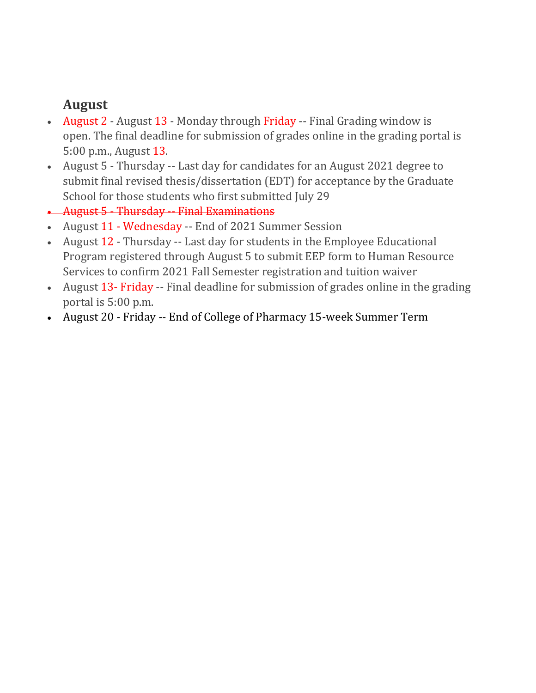#### **August**

- August 2 August 13 Monday through Friday -- Final Grading window is open. The final deadline for submission of grades online in the grading portal is 5:00 p.m., August 13.
- August 5 Thursday -- Last day for candidates for an August 2021 degree to submit final revised thesis/dissertation (EDT) for acceptance by the Graduate School for those students who first submitted July 29
- August 5 Thursday -- Final Examinations
- August 11 Wednesday -- End of 2021 Summer Session
- August 12 Thursday -- Last day for students in the Employee Educational Program registered through August 5 to submit EEP form to Human Resource Services to confirm 2021 Fall Semester registration and tuition waiver
- August 13- Friday -- Final deadline for submission of grades online in the grading portal is 5:00 p.m.
- August 20 Friday -- End of College of Pharmacy 15-week Summer Term